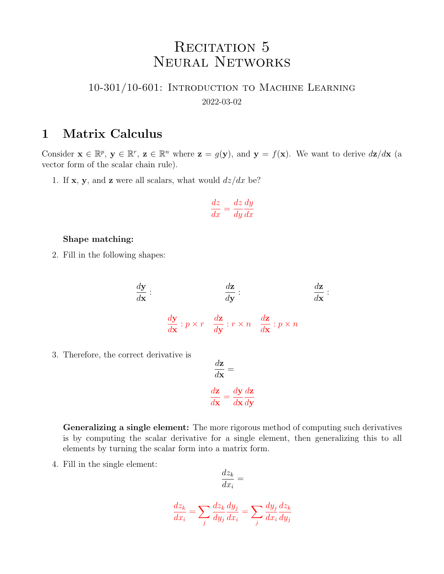# RECITATION 5 Neural Networks

#### 10-301/10-601: Introduction to Machine Learning 2022-03-02

#### 1 Matrix Calculus

Consider  $\mathbf{x} \in \mathbb{R}^p$ ,  $\mathbf{y} \in \mathbb{R}^r$ ,  $\mathbf{z} \in \mathbb{R}^n$  where  $\mathbf{z} = g(\mathbf{y})$ , and  $\mathbf{y} = f(\mathbf{x})$ . We want to derive  $d\mathbf{z}/d\mathbf{x}$  (a vector form of the scalar chain rule).

1. If **x**, **y**, and **z** were all scalars, what would  $dz/dx$  be?

$$
\frac{dz}{dx} = \frac{dz}{dy}\frac{dy}{dx}
$$

#### Shape matching:

2. Fill in the following shapes:

$$
\frac{d\mathbf{y}}{d\mathbf{x}} : \n\frac{d\mathbf{z}}{d\mathbf{y}} : \n\frac{d\mathbf{z}}{d\mathbf{x}} : p \times r \quad \frac{d\mathbf{z}}{d\mathbf{y}} : r \times n \quad \frac{d\mathbf{z}}{d\mathbf{x}} : p \times n
$$

3. Therefore, the correct derivative is

$$
\frac{d\mathbf{z}}{d\mathbf{x}} =
$$

$$
\frac{d\mathbf{z}}{d\mathbf{x}} = \frac{d\mathbf{y}}{d\mathbf{x}} \frac{d\mathbf{z}}{d\mathbf{y}}
$$

Generalizing a single element: The more rigorous method of computing such derivatives is by computing the scalar derivative for a single element, then generalizing this to all elements by turning the scalar form into a matrix form.

4. Fill in the single element:

$$
\frac{dz_k}{dx_i} =
$$

$$
\frac{dz_k}{dx_i} = \sum_j \frac{dz_k}{dy_j} \frac{dy_j}{dx_i} = \sum_j \frac{dy_j}{dx_i} \frac{dz_k}{dy_j}
$$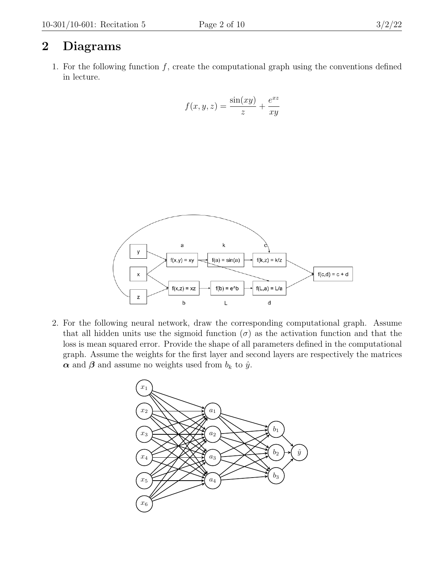## 2 Diagrams

1. For the following function  $f$ , create the computational graph using the conventions defined in lecture.

$$
f(x, y, z) = \frac{\sin(xy)}{z} + \frac{e^{xz}}{xy}
$$



2. For the following neural network, draw the corresponding computational graph. Assume that all hidden units use the sigmoid function  $(\sigma)$  as the activation function and that the loss is mean squared error. Provide the shape of all parameters defined in the computational graph. Assume the weights for the first layer and second layers are respectively the matrices  $\alpha$  and  $\beta$  and assume no weights used from  $b_k$  to  $\hat{y}$ .

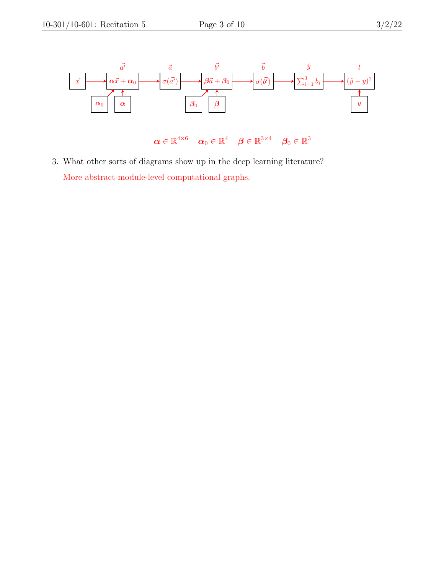

3. What other sorts of diagrams show up in the deep learning literature? More abstract module-level computational graphs.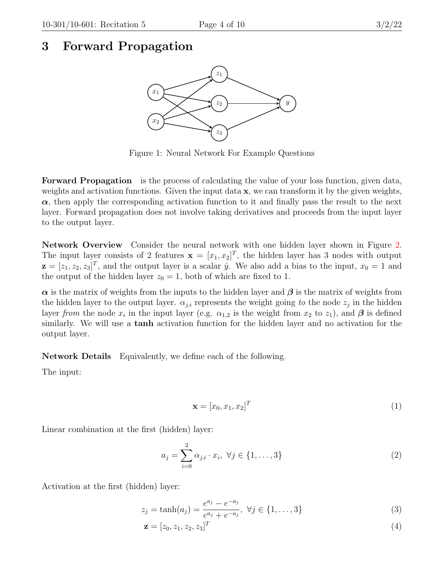### 3 Forward Propagation



Figure 1: Neural Network For Example Questions

Forward Propagation is the process of calculating the value of your loss function, given data, weights and activation functions. Given the input data  $x$ , we can transform it by the given weights,  $\alpha$ , then apply the corresponding activation function to it and finally pass the result to the next layer. Forward propagation does not involve taking derivatives and proceeds from the input layer to the output layer.

Network Overview Consider the neural network with one hidden layer shown in Figure [2.](#page-7-0) The input layer consists of 2 features  $\mathbf{x} = [x_1, x_2]^T$ , the hidden layer has 3 nodes with output  $\mathbf{z} = [z_1, z_2, z_3]^T$ , and the output layer is a scalar  $\hat{y}$ . We also add a bias to the input,  $x_0 = 1$  and the output of the hidden layer  $z_0 = 1$ , both of which are fixed to 1.

 $\alpha$  is the matrix of weights from the inputs to the hidden layer and  $\beta$  is the matrix of weights from the hidden layer to the output layer.  $\alpha_{j,i}$  represents the weight going to the node  $z_j$  in the hidden layer from the node  $x_i$  in the input layer (e.g.  $\alpha_{1,2}$  is the weight from  $x_2$  to  $z_1$ ), and  $\beta$  is defined similarly. We will use a tanh activation function for the hidden layer and no activation for the output layer.

Network Details Equivalently, we define each of the following.

The input:

$$
\mathbf{x} = [x_0, x_1, x_2]^T \tag{1}
$$

Linear combination at the first (hidden) layer:

$$
a_j = \sum_{i=0}^{2} \alpha_{j,i} \cdot x_i, \ \forall j \in \{1, ..., 3\}
$$
 (2)

Activation at the first (hidden) layer:

$$
z_j = \tanh(a_j) = \frac{e^{a_j} - e^{-a_j}}{e^{a_j} + e^{-a_j}}, \ \forall j \in \{1, ..., 3\}
$$
 (3)

$$
\mathbf{z} = [z_0, z_1, z_2, z_3]^T
$$
\n(4)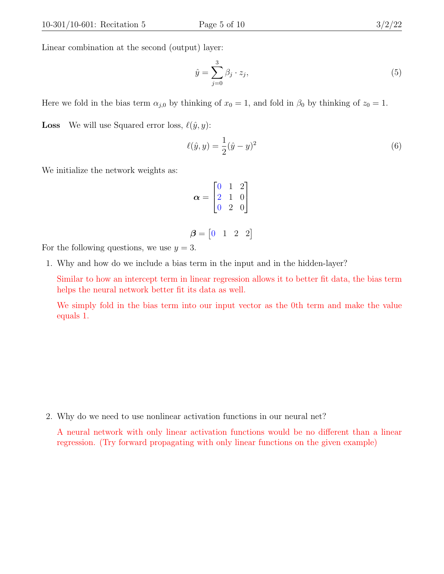Linear combination at the second (output) layer:

$$
\hat{y} = \sum_{j=0}^{3} \beta_j \cdot z_j,\tag{5}
$$

Here we fold in the bias term  $\alpha_{j,0}$  by thinking of  $x_0 = 1$ , and fold in  $\beta_0$  by thinking of  $z_0 = 1$ .

**Loss** We will use Squared error loss,  $\ell(\hat{y}, y)$ :

$$
\ell(\hat{y}, y) = \frac{1}{2}(\hat{y} - y)^2
$$
\n(6)

We initialize the network weights as:

$$
\boldsymbol{\alpha} = \begin{bmatrix} 0 & 1 & 2 \\ 2 & 1 & 0 \\ 0 & 2 & 0 \end{bmatrix}
$$

$$
\boldsymbol{\beta} = \begin{bmatrix} 0 & 1 & 2 & 2 \end{bmatrix}
$$

For the following questions, we use  $y = 3$ .

1. Why and how do we include a bias term in the input and in the hidden-layer?

Similar to how an intercept term in linear regression allows it to better fit data, the bias term helps the neural network better fit its data as well.

We simply fold in the bias term into our input vector as the 0th term and make the value equals 1.

2. Why do we need to use nonlinear activation functions in our neural net?

A neural network with only linear activation functions would be no different than a linear regression. (Try forward propagating with only linear functions on the given example)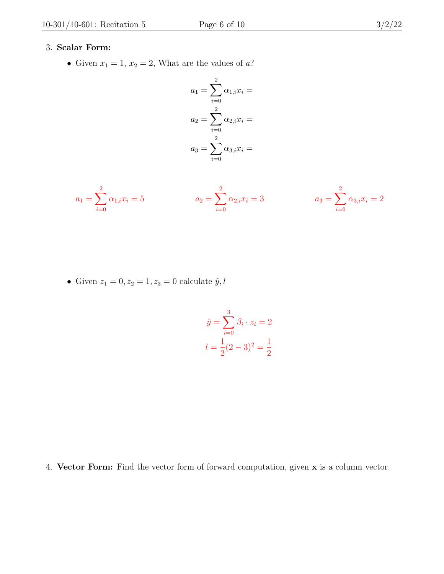#### 3. Scalar Form:

• Given  $x_1 = 1, x_2 = 2$ , What are the values of a?

$$
a_1 = \sum_{i=0}^{2} \alpha_{1,i} x_i =
$$
  
\n
$$
a_2 = \sum_{i=0}^{2} \alpha_{2,i} x_i =
$$
  
\n
$$
a_3 = \sum_{i=0}^{2} \alpha_{3,i} x_i =
$$

$$
a_1 = \sum_{i=0}^{2} \alpha_{1,i} x_i = 5
$$
\n
$$
a_2 = \sum_{i=0}^{2} \alpha_{2,i} x_i = 3
$$
\n
$$
a_3 = \sum_{i=0}^{2} \alpha_{3,i} x_i = 2
$$

• Given  $z_1 = 0, z_2 = 1, z_3 = 0$  calculate  $\hat{y}, l$ 

$$
\hat{y} = \sum_{i=0}^{3} \beta_i \cdot z_i = 2
$$

$$
l = \frac{1}{2}(2-3)^2 = \frac{1}{2}
$$

4. Vector Form: Find the vector form of forward computation, given x is a column vector.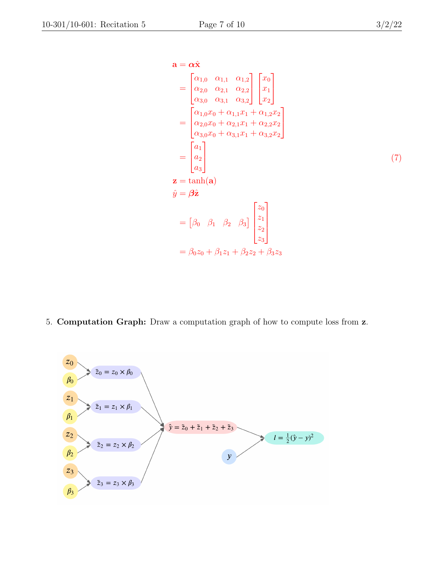$$
\mathbf{a} = \alpha \hat{\mathbf{x}} \n= \begin{bmatrix} \alpha_{1,0} & \alpha_{1,1} & \alpha_{1,2} \\ \alpha_{2,0} & \alpha_{2,1} & \alpha_{2,2} \\ \alpha_{3,0} & \alpha_{3,1} & \alpha_{3,2} \end{bmatrix} \begin{bmatrix} x_0 \\ x_1 \\ x_2 \end{bmatrix} \n= \begin{bmatrix} \alpha_{1,0}x_0 + \alpha_{1,1}x_1 + \alpha_{1,2}x_2 \\ \alpha_{2,0}x_0 + \alpha_{2,1}x_1 + \alpha_{2,2}x_2 \\ \alpha_{3,0}x_0 + \alpha_{3,1}x_1 + \alpha_{3,2}x_2 \end{bmatrix} \n= \begin{bmatrix} a_1 \\ a_2 \\ a_3 \end{bmatrix} \n\mathbf{z} = \tanh(\mathbf{a}) \n\hat{y} = \beta \hat{\mathbf{z}} \n= [\beta_0 \ \beta_1 \ \beta_2 \ \beta_3] \begin{bmatrix} z_0 \\ z_1 \\ z_2 \\ z_3 \end{bmatrix} \n= \beta_0 z_0 + \beta_1 z_1 + \beta_2 z_2 + \beta_3 z_3
$$
\n(7)

5. Computation Graph: Draw a computation graph of how to compute loss from z.

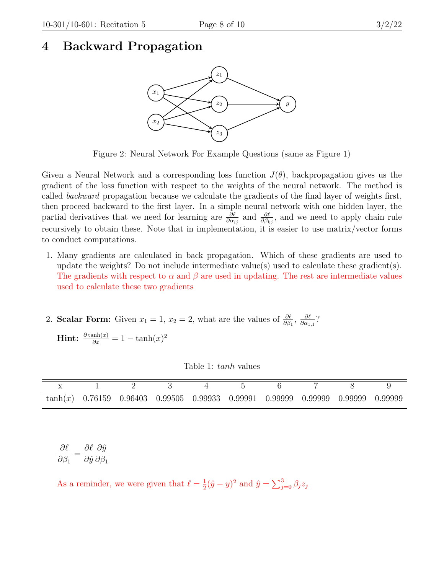### <span id="page-7-0"></span>4 Backward Propagation

![](_page_7_Figure_4.jpeg)

Figure 2: Neural Network For Example Questions (same as Figure 1)

Given a Neural Network and a corresponding loss function  $J(\theta)$ , backpropagation gives us the gradient of the loss function with respect to the weights of the neural network. The method is called backward propagation because we calculate the gradients of the final layer of weights first, then proceed backward to the first layer. In a simple neural network with one hidden layer, the partial derivatives that we need for learning are  $\frac{\partial \ell}{\partial \alpha_{ij}}$  and  $\frac{\partial \ell}{\partial \beta_{kj}}$ , and we need to apply chain rule recursively to obtain these. Note that in implementation, it is easier to use matrix/vector forms to conduct computations.

- 1. Many gradients are calculated in back propagation. Which of these gradients are used to update the weights? Do not include intermediate value(s) used to calculate these gradient(s). The gradients with respect to  $\alpha$  and  $\beta$  are used in updating. The rest are intermediate values used to calculate these two gradients
- 2. **Scalar Form:** Given  $x_1 = 1$ ,  $x_2 = 2$ , what are the values of  $\frac{\partial \ell}{\partial \beta_1}$ ,  $\frac{\partial \ell}{\partial \alpha_1}$  $\frac{\partial \ell}{\partial \alpha_{1,1}}$ ?

**Hint:**  $\frac{\partial \tanh(x)}{\partial x} = 1 - \tanh(x)^2$ 

| $tanh(x)$ 0.76159 0.96403 0.99505 0.99933 0.99991 0.99999 0.99999 0.99999 0.99999 |  |  |  |  |
|-----------------------------------------------------------------------------------|--|--|--|--|

∂ℓ  $\partial \beta_1$ =  $\partial \ell$  $\partial \hat{y}$  $\partial \hat{y}$  $\partial \beta_1$ 

As a reminder, we were given that  $\ell = \frac{1}{2}$  $\frac{1}{2}(\hat{y}-y)^2$  and  $\hat{y} = \sum_{j=0}^3 \beta_j z_j$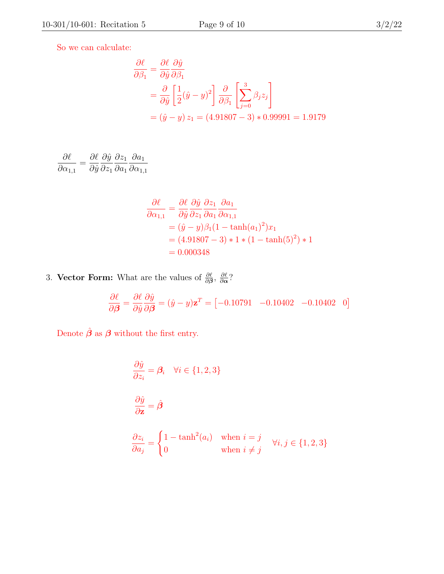So we can calculate:

$$
\frac{\partial \ell}{\partial \beta_1} = \frac{\partial \ell}{\partial \hat{y}} \frac{\partial \hat{y}}{\partial \beta_1}
$$
  
=  $\frac{\partial}{\partial \hat{y}} \left[ \frac{1}{2} (\hat{y} - y)^2 \right] \frac{\partial}{\partial \beta_1} \left[ \sum_{j=0}^3 \beta_j z_j \right]$   
=  $(\hat{y} - y) z_1 = (4.91807 - 3) * 0.99991 = 1.9179$ 

$$
\frac{\partial \ell}{\partial \alpha_{1,1}} = \frac{\partial \ell}{\partial \hat{y}} \frac{\partial \hat{y}}{\partial z_1} \frac{\partial z_1}{\partial a_1} \frac{\partial a_1}{\partial \alpha_{1,1}}
$$

$$
\frac{\partial \ell}{\partial \alpha_{1,1}} = \frac{\partial \ell}{\partial \hat{y}} \frac{\partial \hat{y}}{\partial z_1} \frac{\partial z_1}{\partial a_1} \frac{\partial a_1}{\partial \alpha_{1,1}} \n= (\hat{y} - y)\beta_1 (1 - \tanh(a_1)^2) x_1 \n= (4.91807 - 3) * 1 * (1 - \tanh(5)^2) * 1 \n= 0.000348
$$

3. Vector Form: What are the values of  $\frac{\partial \ell}{\partial \beta}$ ,  $\frac{\partial \ell}{\partial \alpha}$  $\frac{\partial \ell}{\partial \bm{\alpha}}$ ?

$$
\frac{\partial \ell}{\partial \beta} = \frac{\partial \ell}{\partial \hat{y}} \frac{\partial \hat{y}}{\partial \beta} = (\hat{y} - y)\mathbf{z}^T = [-0.10791 \quad -0.10402 \quad -0.10402 \quad 0]
$$

Denote  $\hat{\boldsymbol{\beta}}$  as  $\boldsymbol{\beta}$  without the first entry.

$$
\frac{\partial \hat{y}}{\partial z_i} = \beta_i \quad \forall i \in \{1, 2, 3\}
$$
  

$$
\frac{\partial \hat{y}}{\partial z} = \hat{\beta}
$$
  

$$
\frac{\partial z_i}{\partial a_j} = \begin{cases} 1 - \tanh^2(a_i) & \text{when } i = j \\ 0 & \text{when } i \neq j \end{cases} \quad \forall i, j \in \{1, 2, 3\}
$$